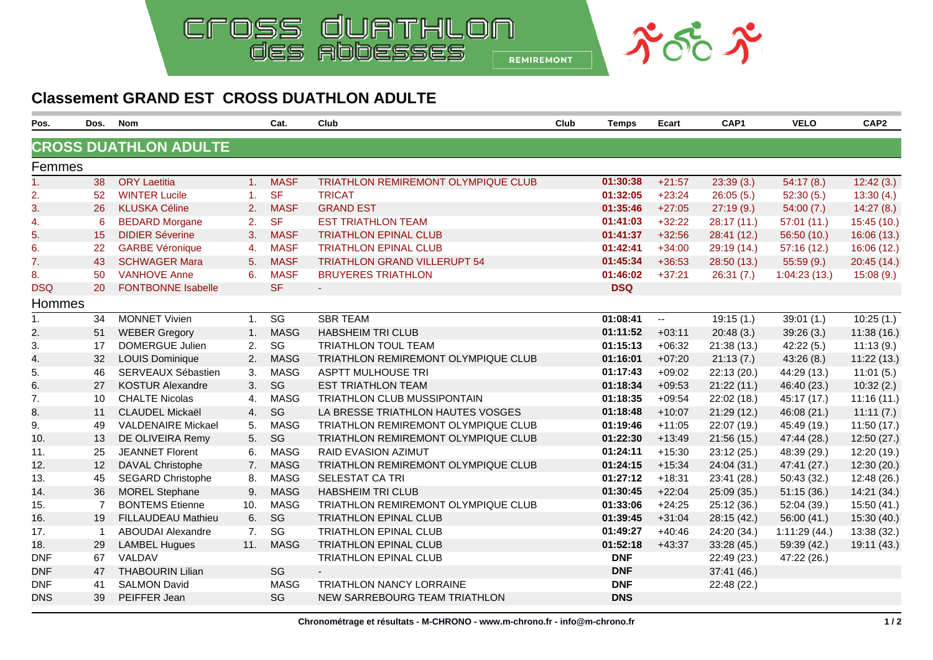

## **Classement GRAND EST CROSS DUATHLON ADULTE**

| Pos.           | Dos.           | <b>Nom</b>                   |                | Cat.                   | Club                                       | Club | <b>Temps</b> | Ecart    | CAP1        | <b>VELO</b>  | CAP <sub>2</sub> |
|----------------|----------------|------------------------------|----------------|------------------------|--------------------------------------------|------|--------------|----------|-------------|--------------|------------------|
|                |                | <b>CROSS DUATHLON ADULTE</b> |                |                        |                                            |      |              |          |             |              |                  |
| Femmes         |                |                              |                |                        |                                            |      |              |          |             |              |                  |
| 1 <sub>1</sub> | 38             | <b>ORY Laetitia</b>          | 1 <sub>1</sub> | <b>MASF</b>            | TRIATHLON REMIREMONT OLYMPIQUE CLUB        |      | 01:30:38     | $+21:57$ | 23:39(3.)   | 54:17(8.)    | 12:42(3.)        |
| 2.             | 52             | <b>WINTER Lucile</b>         | 1.             | <b>SF</b>              | <b>TRICAT</b>                              |      | 01:32:05     | $+23:24$ | 26:05(5.)   | 52:30(5.)    | 13:30(4)         |
| 3.             | 26             | <b>KLUSKA Céline</b>         | 2.             | <b>MASF</b>            | <b>GRAND EST</b>                           |      | 01:35:46     | $+27:05$ | 27:19(9.)   | 54:00(7.)    | 14:27(8.)        |
| 4.             | 6              | <b>BEDARD Morgane</b>        | 2.             | <b>SF</b>              | <b>EST TRIATHLON TEAM</b>                  |      | 01:41:03     | $+32:22$ | 28:17(11)   | 57:01(11)    | 15:45(10.)       |
| 5.             | 15             | <b>DIDIER Séverine</b>       | 3.             | <b>MASF</b>            | <b>TRIATHLON EPINAL CLUB</b>               |      | 01:41:37     | $+32:56$ | 28:41 (12.) | 56:50(10.)   | 16:06(13.)       |
| 6.             | 22             | <b>GARBE Véronique</b>       | 4.             | <b>MASF</b>            | <b>TRIATHLON EPINAL CLUB</b>               |      | 01:42:41     | $+34:00$ | 29:19 (14.) | 57:16(12.)   | 16:06(12.)       |
| 7.             | 43             | <b>SCHWAGER Mara</b>         | 5.             | <b>MASF</b>            | <b>TRIATHLON GRAND VILLERUPT 54</b>        |      | 01:45:34     | $+36:53$ | 28:50 (13.) | 55:59(9.)    | 20:45 (14.)      |
| 8.             | 50             | <b>VANHOVE Anne</b>          | 6.             | <b>MASF</b>            | <b>BRUYERES TRIATHLON</b>                  |      | 01:46:02     | $+37:21$ | 26:31(7.)   | 1:04:23(13.) | 15:08(9.)        |
| <b>DSQ</b>     | 20             | <b>FONTBONNE Isabelle</b>    |                | <b>SF</b>              | $\sim$                                     |      | <b>DSQ</b>   |          |             |              |                  |
| <b>Hommes</b>  |                |                              |                |                        |                                            |      |              |          |             |              |                  |
| $\mathbf{1}$ . | 34             | <b>MONNET Vivien</b>         | 1.             | $\overline{\text{SG}}$ | <b>SBR TEAM</b>                            |      | 01:08:41     | $\sim$   | 19:15(1.)   | 39:01(1.)    | 10:25(1)         |
| 2.             | 51             | <b>WEBER Gregory</b>         | 1.             | <b>MASG</b>            | <b>HABSHEIM TRI CLUB</b>                   |      | 01:11:52     | $+03:11$ | 20:48(3.)   | 39:26(3.)    | 11:38(16.)       |
| 3.             | 17             | <b>DOMERGUE Julien</b>       | 2.             | SG                     | TRIATHLON TOUL TEAM                        |      | 01:15:13     | $+06:32$ | 21:38(13.)  | 42:22(5.)    | 11:13(9.)        |
| 4.             | 32             | <b>LOUIS Dominique</b>       | 2.             | <b>MASG</b>            | <b>TRIATHLON REMIREMONT OLYMPIQUE CLUB</b> |      | 01:16:01     | $+07:20$ | 21:13(7.)   | 43:26(8)     | 11:22(13.)       |
| 5.             | 46             | SERVEAUX Sébastien           | 3.             | <b>MASG</b>            | <b>ASPTT MULHOUSE TRI</b>                  |      | 01:17:43     | $+09:02$ | 22:13 (20.) | 44:29 (13.)  | 11:01(5.)        |
| 6.             | 27             | <b>KOSTUR Alexandre</b>      | 3.             | SG                     | <b>EST TRIATHLON TEAM</b>                  |      | 01:18:34     | $+09:53$ | 21:22(11.)  | 46:40 (23.)  | 10:32(2.)        |
| 7.             | 10             | <b>CHALTE Nicolas</b>        | 4.             | <b>MASG</b>            | TRIATHLON CLUB MUSSIPONTAIN                |      | 01:18:35     | $+09:54$ | 22:02 (18.) | 45:17 (17.)  | 11:16(11.)       |
| 8.             | 11             | <b>CLAUDEL Mickaël</b>       | 4.             | SG                     | LA BRESSE TRIATHLON HAUTES VOSGES          |      | 01:18:48     | $+10:07$ | 21:29(12.)  | 46:08 (21.)  | 11:11(7.)        |
| 9.             | 49             | <b>VALDENAIRE Mickael</b>    | 5.             | <b>MASG</b>            | <b>TRIATHLON REMIREMONT OLYMPIQUE CLUB</b> |      | 01:19:46     | $+11:05$ | 22:07 (19.) | 45:49 (19.)  | 11:50(17.)       |
| 10.            | 13             | DE OLIVEIRA Remy             | 5.             | SG                     | TRIATHLON REMIREMONT OLYMPIQUE CLUB        |      | 01:22:30     | $+13:49$ | 21:56(15.)  | 47:44 (28.)  | 12:50(27.)       |
| 11.            | 25             | <b>JEANNET Florent</b>       | 6.             | <b>MASG</b>            | RAID EVASION AZIMUT                        |      | 01:24:11     | $+15:30$ | 23:12 (25.) | 48:39 (29.)  | 12:20 (19.)      |
| 12.            | 12             | DAVAL Christophe             | 7.             | <b>MASG</b>            | TRIATHLON REMIREMONT OLYMPIQUE CLUB        |      | 01:24:15     | $+15:34$ | 24:04 (31.) | 47:41 (27.)  | 12:30 (20.)      |
| 13.            | 45             | <b>SEGARD Christophe</b>     | 8.             | <b>MASG</b>            | SELESTAT CA TRI                            |      | 01:27:12     | $+18:31$ | 23:41 (28.) | 50:43 (32.)  | 12:48 (26.)      |
| 14.            | 36             | <b>MOREL Stephane</b>        | 9.             | <b>MASG</b>            | <b>HABSHEIM TRI CLUB</b>                   |      | 01:30:45     | $+22:04$ | 25:09 (35.) | 51:15(36.)   | 14:21 (34.)      |
| 15.            | $\overline{7}$ | <b>BONTEMS Etienne</b>       | 10.            | <b>MASG</b>            | TRIATHLON REMIREMONT OLYMPIQUE CLUB        |      | 01:33:06     | $+24:25$ | 25:12 (36.) | 52:04 (39.)  | 15:50 (41.)      |
| 16.            | 19             | <b>FILLAUDEAU Mathieu</b>    | 6.             | SG                     | <b>TRIATHLON EPINAL CLUB</b>               |      | 01:39:45     | $+31:04$ | 28:15 (42.) | 56:00 (41.)  | 15:30(40.)       |
| 17.            | $\overline{1}$ | <b>ABOUDAI Alexandre</b>     | 7 <sup>1</sup> | SG                     | <b>TRIATHLON EPINAL CLUB</b>               |      | 01:49:27     | $+40:46$ | 24:20 (34.) | 1:11:29(44.) | 13:38 (32.)      |
| 18.            | 29             | <b>LAMBEL Hugues</b>         | 11.            | <b>MASG</b>            | <b>TRIATHLON EPINAL CLUB</b>               |      | 01:52:18     | $+43:37$ | 33:28(45)   | 59:39 (42.)  | 19:11 (43.)      |
| <b>DNF</b>     | 67             | VALDAV                       |                |                        | <b>TRIATHLON EPINAL CLUB</b>               |      | <b>DNF</b>   |          | 22:49 (23.) | 47:22 (26.)  |                  |
| <b>DNF</b>     | 47             | <b>THABOURIN Lilian</b>      |                | SG                     |                                            |      | <b>DNF</b>   |          | 37:41 (46.) |              |                  |
| <b>DNF</b>     | 41             | <b>SALMON David</b>          |                | <b>MASG</b>            | TRIATHLON NANCY LORRAINE                   |      | <b>DNF</b>   |          | 22:48 (22.) |              |                  |
| <b>DNS</b>     | 39             | PEIFFER Jean                 |                | SG                     | NEW SARREBOURG TEAM TRIATHLON              |      | <b>DNS</b>   |          |             |              |                  |
|                |                |                              |                |                        |                                            |      |              |          |             |              |                  |